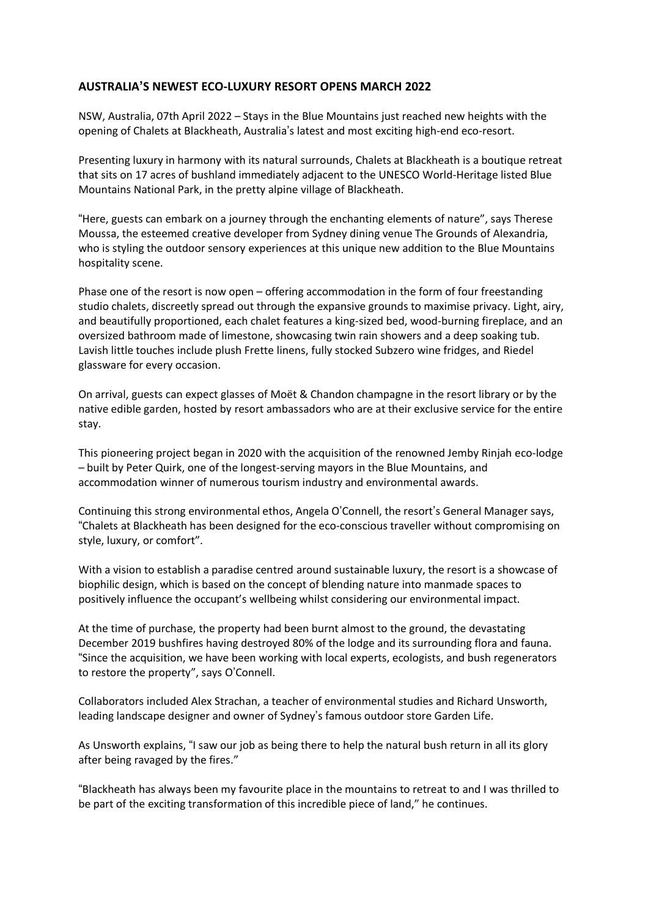## **AUSTRALIA'S NEWEST ECO-LUXURY RESORT OPENS MARCH 2022**

NSW, Australia, 07th April 2022 – Stays in the Blue Mountains just reached new heights with the opening of Chalets at Blackheath, Australia's latest and most exciting high-end eco-resort.

Presenting luxury in harmony with its natural surrounds, Chalets at Blackheath is a boutique retreat that sits on 17 acres of bushland immediately adjacent to the UNESCO World-Heritage listed Blue Mountains National Park, in the pretty alpine village of Blackheath.

"Here, guests can embark on a journey through the enchanting elements of nature", says Therese Moussa, the esteemed creative developer from Sydney dining venue The Grounds of Alexandria, who is styling the outdoor sensory experiences at this unique new addition to the Blue Mountains hospitality scene.

Phase one of the resort is now open – offering accommodation in the form of four freestanding studio chalets, discreetly spread out through the expansive grounds to maximise privacy. Light, airy, and beautifully proportioned, each chalet features a king-sized bed, wood-burning fireplace, and an oversized bathroom made of limestone, showcasing twin rain showers and a deep soaking tub. Lavish little touches include plush Frette linens, fully stocked Subzero wine fridges, and Riedel glassware for every occasion.

On arrival, guests can expect glasses of Moët & Chandon champagne in the resort library or by the native edible garden, hosted by resort ambassadors who are at their exclusive service for the entire stay.

This pioneering project began in 2020 with the acquisition of the renowned Jemby Rinjah eco-lodge – built by Peter Quirk, one of the longest-serving mayors in the Blue Mountains, and accommodation winner of numerous tourism industry and environmental awards.

Continuing this strong environmental ethos, Angela O'Connell, the resort's General Manager says, "Chalets at Blackheath has been designed for the eco-conscious traveller without compromising on style, luxury, or comfort".

With a vision to establish a paradise centred around sustainable luxury, the resort is a showcase of biophilic design, which is based on the concept of blending nature into manmade spaces to positively influence the occupant's wellbeing whilst considering our environmental impact.

At the time of purchase, the property had been burnt almost to the ground, the devastating December 2019 bushfires having destroyed 80% of the lodge and its surrounding flora and fauna. "Since the acquisition, we have been working with local experts, ecologists, and bush regenerators to restore the property", says O'Connell.

Collaborators included Alex Strachan, a teacher of environmental studies and Richard Unsworth, leading landscape designer and owner of Sydney's famous outdoor store Garden Life.

As Unsworth explains, "I saw our job as being there to help the natural bush return in all its glory after being ravaged by the fires."

"Blackheath has always been my favourite place in the mountains to retreat to and I was thrilled to be part of the exciting transformation of this incredible piece of land," he continues.